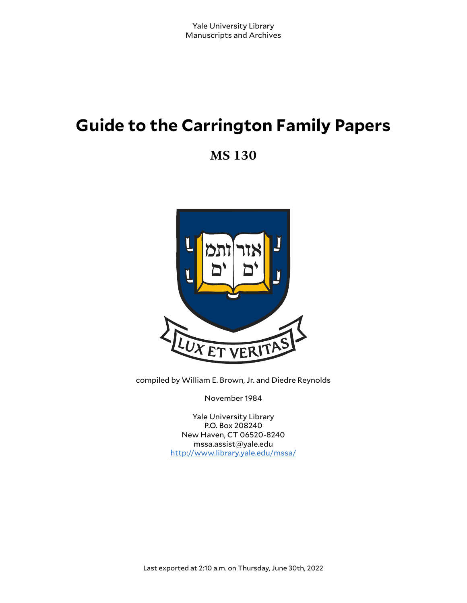# **Guide to the Carrington Family Papers**

**MS 130**



compiled by William E. Brown, Jr. and Diedre Reynolds

November 1984

Yale University Library P.O. Box 208240 New Haven, CT 06520-8240 mssa.assist@yale.edu <http://www.library.yale.edu/mssa/>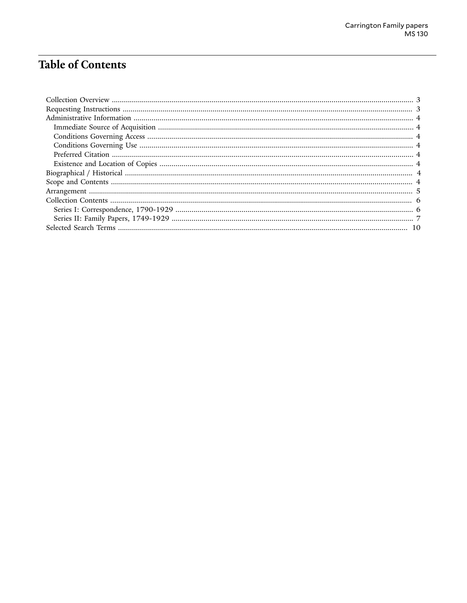# **Table of Contents**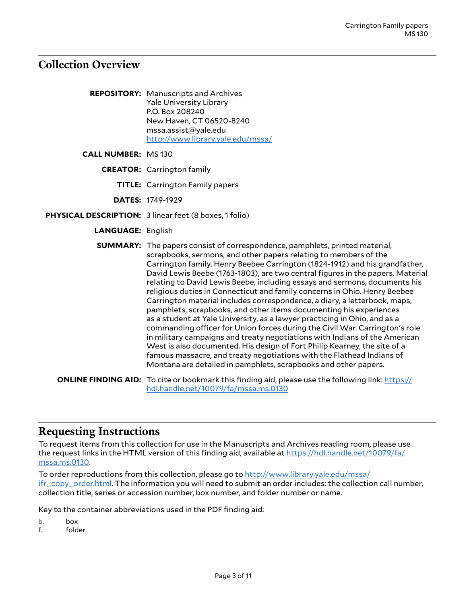### <span id="page-2-0"></span>**Collection Overview**

**REPOSITORY:** Manuscripts and Archives Yale University Library P.O. Box 208240 New Haven, CT 06520-8240 mssa.assist@yale.edu <http://www.library.yale.edu/mssa/>

**CALL NUMBER:** MS 130

**CREATOR:** Carrington family

**TITLE:** Carrington Family papers

**DATES:** 1749-1929

- **PHYSICAL DESCRIPTION:** 3 linear feet (8 boxes, 1 folio)
	- **LANGUAGE:** English

**SUMMARY:** The papers consist of correspondence, pamphlets, printed material, scrapbooks, sermons, and other papers relating to members of the Carrington family. Henry Beebee Carrington (1824-1912) and his grandfather, David Lewis Beebe (1763-1803), are two central figures in the papers. Material relating to David Lewis Beebe, including essays and sermons, documents his religious duties in Connecticut and family concerns in Ohio. Henry Beebee Carrington material includes correspondence, a diary, a letterbook, maps, pamphlets, scrapbooks, and other items documenting his experiences as a student at Yale University, as a lawyer practicing in Ohio, and as a commanding officer for Union forces during the Civil War. Carrington's role in military campaigns and treaty negotiations with Indians of the American West is also documented. His design of Fort Philip Kearney, the site of a famous massacre, and treaty negotiations with the Flathead Indians of Montana are detailed in pamphlets, scrapbooks and other papers.

**ONLINE FINDING AID:** To cite or bookmark this finding aid, please use the following link: [https://](https://hdl.handle.net/10079/fa/mssa.ms.0130) [hdl.handle.net/10079/fa/mssa.ms.0130](https://hdl.handle.net/10079/fa/mssa.ms.0130)

### <span id="page-2-1"></span>**Requesting Instructions**

To request items from this collection for use in the Manuscripts and Archives reading room, please use the request links in the HTML version of this finding aid, available at [https://hdl.handle.net/10079/fa/](https://hdl.handle.net/10079/fa/mssa.ms.0130) [mssa.ms.0130.](https://hdl.handle.net/10079/fa/mssa.ms.0130)

To order reproductions from this collection, please go to [http://www.library.yale.edu/mssa/](http://www.library.yale.edu/mssa/ifr_copy_order.html)  $i$ fr\_copy\_order.html. The information you will need to submit an order includes: the collection call number, collection title, series or accession number, box number, and folder number or name.

Key to the container abbreviations used in the PDF finding aid:

b. box

f. folder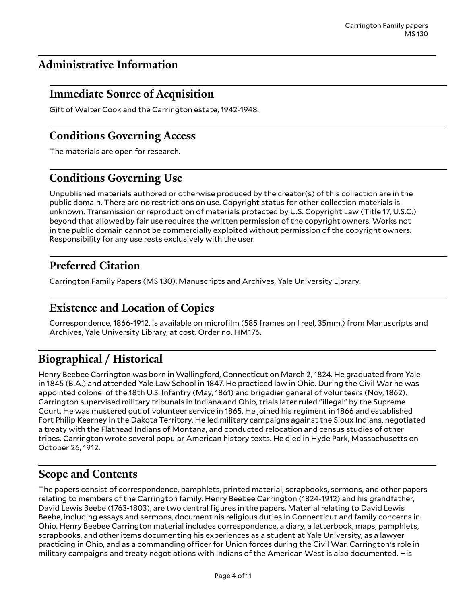# <span id="page-3-0"></span>**Administrative Information**

### <span id="page-3-1"></span>**Immediate Source of Acquisition**

Gift of Walter Cook and the Carrington estate, 1942-1948.

### <span id="page-3-2"></span>**Conditions Governing Access**

The materials are open for research.

## <span id="page-3-3"></span>**Conditions Governing Use**

Unpublished materials authored or otherwise produced by the creator(s) of this collection are in the public domain. There are no restrictions on use. Copyright status for other collection materials is unknown. Transmission or reproduction of materials protected by U.S. Copyright Law (Title 17, U.S.C.) beyond that allowed by fair use requires the written permission of the copyright owners. Works not in the public domain cannot be commercially exploited without permission of the copyright owners. Responsibility for any use rests exclusively with the user.

# <span id="page-3-4"></span>**Preferred Citation**

Carrington Family Papers (MS 130). Manuscripts and Archives, Yale University Library.

### <span id="page-3-5"></span>**Existence and Location of Copies**

Correspondence, 1866-1912, is available on microfilm (585 frames on l reel, 35mm.) from Manuscripts and Archives, Yale University Library, at cost. Order no. HM176.

# <span id="page-3-6"></span>**Biographical / Historical**

Henry Beebee Carrington was born in Wallingford, Connecticut on March 2, 1824. He graduated from Yale in 1845 (B.A.) and attended Yale Law School in 1847. He practiced law in Ohio. During the Civil War he was appointed colonel of the 18th U.S. Infantry (May, 1861) and brigadier general of volunteers (Nov, 1862). Carrington supervised military tribunals in Indiana and Ohio, trials later ruled "illegal" by the Supreme Court. He was mustered out of volunteer service in 1865. He joined his regiment in 1866 and established Fort Philip Kearney in the Dakota Territory. He led military campaigns against the Sioux Indians, negotiated a treaty with the Flathead Indians of Montana, and conducted relocation and census studies of other tribes. Carrington wrote several popular American history texts. He died in Hyde Park, Massachusetts on October 26, 1912.

## <span id="page-3-7"></span>**Scope and Contents**

The papers consist of correspondence, pamphlets, printed material, scrapbooks, sermons, and other papers relating to members of the Carrington family. Henry Beebee Carrington (1824-1912) and his grandfather, David Lewis Beebe (1763-1803), are two central figures in the papers. Material relating to David Lewis Beebe, including essays and sermons, document his religious duties in Connecticut and family concerns in Ohio. Henry Beebee Carrington material includes correspondence, a diary, a letterbook, maps, pamphlets, scrapbooks, and other items documenting his experiences as a student at Yale University, as a lawyer practicing in Ohio, and as a commanding officer for Union forces during the Civil War. Carrington's role in military campaigns and treaty negotiations with Indians of the American West is also documented. His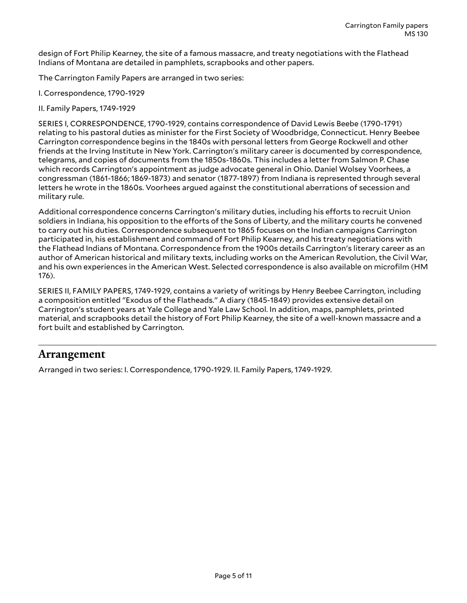design of Fort Philip Kearney, the site of a famous massacre, and treaty negotiations with the Flathead Indians of Montana are detailed in pamphlets, scrapbooks and other papers.

The Carrington Family Papers are arranged in two series:

I. Correspondence, 1790-1929

II. Family Papers, 1749-1929

SERIES I, CORRESPONDENCE, 1790-1929, contains correspondence of David Lewis Beebe (1790-1791) relating to his pastoral duties as minister for the First Society of Woodbridge, Connecticut. Henry Beebee Carrington correspondence begins in the 1840s with personal letters from George Rockwell and other friends at the Irving Institute in New York. Carrington's military career is documented by correspondence, telegrams, and copies of documents from the 1850s-1860s. This includes a letter from Salmon P. Chase which records Carrington's appointment as judge advocate general in Ohio. Daniel Wolsey Voorhees, a congressman (1861-1866; 1869-1873) and senator (1877-1897) from Indiana is represented through several letters he wrote in the 1860s. Voorhees argued against the constitutional aberrations of secession and military rule.

Additional correspondence concerns Carrington's military duties, including his efforts to recruit Union soldiers in Indiana, his opposition to the efforts of the Sons of Liberty, and the military courts he convened to carry out his duties. Correspondence subsequent to 1865 focuses on the Indian campaigns Carrington participated in, his establishment and command of Fort Philip Kearney, and his treaty negotiations with the Flathead Indians of Montana. Correspondence from the 1900s details Carrington's literary career as an author of American historical and military texts, including works on the American Revolution, the Civil War, and his own experiences in the American West. Selected correspondence is also available on microfilm (HM 176).

SERIES II, FAMILY PAPERS, 1749-1929, contains a variety of writings by Henry Beebee Carrington, including a composition entitled "Exodus of the Flatheads." A diary (1845-1849) provides extensive detail on Carrington's student years at Yale College and Yale Law School. In addition, maps, pamphlets, printed material, and scrapbooks detail the history of Fort Philip Kearney, the site of a well-known massacre and a fort built and established by Carrington.

### <span id="page-4-0"></span>**Arrangement**

Arranged in two series: I. Correspondence, 1790-1929. II. Family Papers, 1749-1929.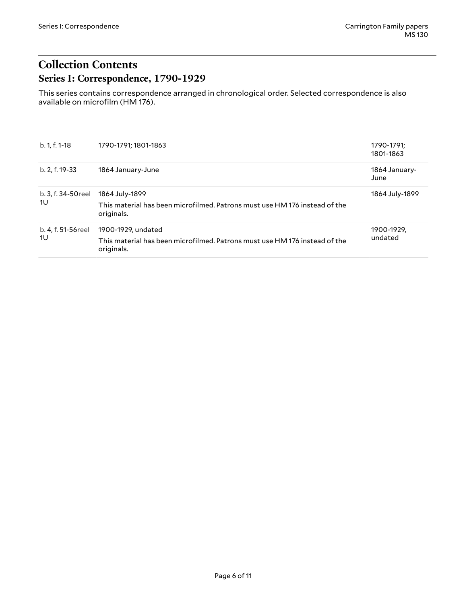# <span id="page-5-1"></span><span id="page-5-0"></span>**Collection Contents Series I: Correspondence, 1790-1929**

This series contains correspondence arranged in chronological order. Selected correspondence is also available on microfilm (HM 176).

| b. 1, f. 1-18            | 1790-1791; 1801-1863                                                                                           | 1790-1791;<br>1801-1863 |
|--------------------------|----------------------------------------------------------------------------------------------------------------|-------------------------|
| b. 2, f. 19-33           | 1864 January-June                                                                                              | 1864 January-<br>June   |
| b. 3, f. 34-50reel<br>1U | 1864 July-1899<br>This material has been microfilmed. Patrons must use HM 176 instead of the<br>originals.     | 1864 July-1899          |
| b. 4, f. 51-56reel<br>1U | 1900-1929, undated<br>This material has been microfilmed. Patrons must use HM 176 instead of the<br>originals. | 1900-1929,<br>undated   |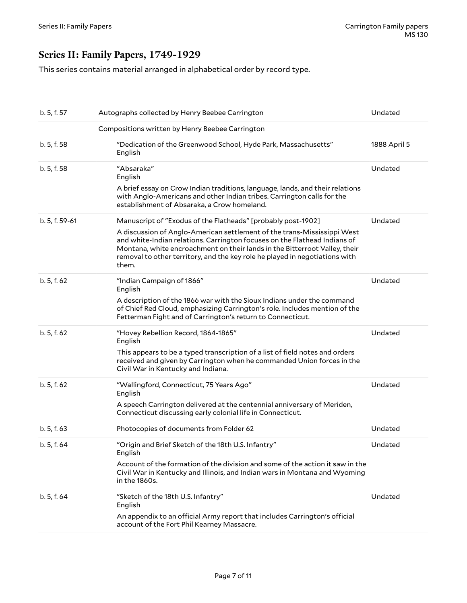# <span id="page-6-0"></span>**Series II: Family Papers, 1749-1929**

This series contains material arranged in alphabetical order by record type.

| b. 5, f. 57    | Autographs collected by Henry Beebee Carrington                                                                                                                                                                                                                                                                                                                                            | Undated      |
|----------------|--------------------------------------------------------------------------------------------------------------------------------------------------------------------------------------------------------------------------------------------------------------------------------------------------------------------------------------------------------------------------------------------|--------------|
|                | Compositions written by Henry Beebee Carrington                                                                                                                                                                                                                                                                                                                                            |              |
| b. 5, f. 58    | "Dedication of the Greenwood School, Hyde Park, Massachusetts"<br>English                                                                                                                                                                                                                                                                                                                  | 1888 April 5 |
| b. 5, f. 58    | "Absaraka"<br>English<br>A brief essay on Crow Indian traditions, language, lands, and their relations<br>with Anglo-Americans and other Indian tribes. Carrington calls for the                                                                                                                                                                                                           | Undated      |
|                | establishment of Absaraka, a Crow homeland.                                                                                                                                                                                                                                                                                                                                                |              |
| b. 5, f. 59-61 | Manuscript of "Exodus of the Flatheads" [probably post-1902]<br>A discussion of Anglo-American settlement of the trans-Mississippi West<br>and white-Indian relations. Carrington focuses on the Flathead Indians of<br>Montana, white encroachment on their lands in the Bitterroot Valley, their<br>removal to other territory, and the key role he played in negotiations with<br>them. | Undated      |
| b. 5, f. 62    | "Indian Campaign of 1866"<br>English<br>A description of the 1866 war with the Sioux Indians under the command<br>of Chief Red Cloud, emphasizing Carrington's role. Includes mention of the<br>Fetterman Fight and of Carrington's return to Connecticut.                                                                                                                                 | Undated      |
| b. 5, f. 62    | "Hovey Rebellion Record, 1864-1865"<br>English<br>This appears to be a typed transcription of a list of field notes and orders<br>received and given by Carrington when he commanded Union forces in the<br>Civil War in Kentucky and Indiana.                                                                                                                                             | Undated      |
| b. 5, f. 62    | "Wallingford, Connecticut, 75 Years Ago"<br>English<br>A speech Carrington delivered at the centennial anniversary of Meriden,<br>Connecticut discussing early colonial life in Connecticut.                                                                                                                                                                                               | Undated      |
| b. 5, f. 63    | Photocopies of documents from Folder 62                                                                                                                                                                                                                                                                                                                                                    | Undated      |
| b.5, f.64      | "Origin and Brief Sketch of the 18th U.S. Infantry"<br>English<br>Account of the formation of the division and some of the action it saw in the<br>Civil War in Kentucky and Illinois, and Indian wars in Montana and Wyoming<br>in the 1860s.                                                                                                                                             | Undated      |
| b. 5, f. 64    | "Sketch of the 18th U.S. Infantry"<br>English<br>An appendix to an official Army report that includes Carrington's official<br>account of the Fort Phil Kearney Massacre.                                                                                                                                                                                                                  | Undated      |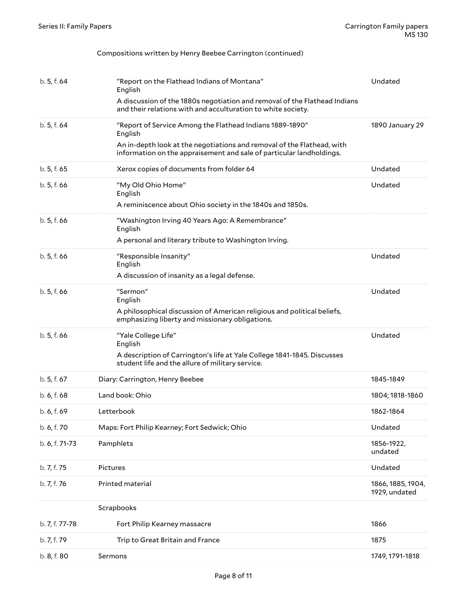#### Compositions written by Henry Beebee Carrington (continued)

| b.5, f.64      | "Report on the Flathead Indians of Montana"<br>English                                                                                         | Undated                            |
|----------------|------------------------------------------------------------------------------------------------------------------------------------------------|------------------------------------|
|                | A discussion of the 1880s negotiation and removal of the Flathead Indians<br>and their relations with and acculturation to white society.      |                                    |
| b.5, f.64      | "Report of Service Among the Flathead Indians 1889-1890"<br>English                                                                            | 1890 January 29                    |
|                | An in-depth look at the negotiations and removal of the Flathead, with<br>information on the appraisement and sale of particular landholdings. |                                    |
| b. 5, f. 65    | Xerox copies of documents from folder 64                                                                                                       | Undated                            |
| b.5, f.66      | "My Old Ohio Home"<br>English                                                                                                                  | Undated                            |
|                | A reminiscence about Ohio society in the 1840s and 1850s.                                                                                      |                                    |
| b.5, f.66      | "Washington Irving 40 Years Ago: A Remembrance"<br>English                                                                                     |                                    |
|                | A personal and literary tribute to Washington Irving.                                                                                          |                                    |
| b. 5, f. 66    | "Responsible Insanity"<br>English                                                                                                              | Undated                            |
|                | A discussion of insanity as a legal defense.                                                                                                   |                                    |
| b.5, f.66      | "Sermon"<br>English                                                                                                                            | Undated                            |
|                | A philosophical discussion of American religious and political beliefs,<br>emphasizing liberty and missionary obligations.                     |                                    |
| b.5, f.66      | "Yale College Life"<br>English                                                                                                                 | Undated                            |
|                | A description of Carrington's life at Yale College 1841-1845. Discusses<br>student life and the allure of military service.                    |                                    |
| b. 5, f. 67    | Diary: Carrington, Henry Beebee                                                                                                                | 1845-1849                          |
| b. 6, f. 68    | Land book: Ohio                                                                                                                                | 1804; 1818-1860                    |
| b. 6, f. 69    | Letterbook                                                                                                                                     | 1862-1864                          |
| b. 6, f. 70    | Maps: Fort Philip Kearney; Fort Sedwick; Ohio                                                                                                  | Undated                            |
| b. 6, f. 71-73 | Pamphlets                                                                                                                                      | 1856-1922,<br>undated              |
| b. 7, f. 75    | Pictures                                                                                                                                       | Undated                            |
| b. 7, f. 76    | Printed material                                                                                                                               | 1866, 1885, 1904,<br>1929, undated |
|                | Scrapbooks                                                                                                                                     |                                    |
| b. 7, f. 77-78 | Fort Philip Kearney massacre                                                                                                                   | 1866                               |
| b. 7, f. 79    | Trip to Great Britain and France                                                                                                               | 1875                               |
| b. 8, f. 80    | Sermons                                                                                                                                        | 1749, 1791-1818                    |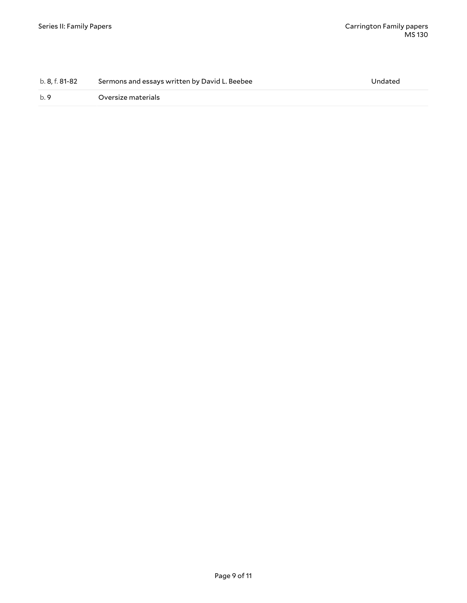| b. 8, f. 81-82 | Sermons and essays written by David L. Beebee | Undated |
|----------------|-----------------------------------------------|---------|
| b.9            | Oversize materials                            |         |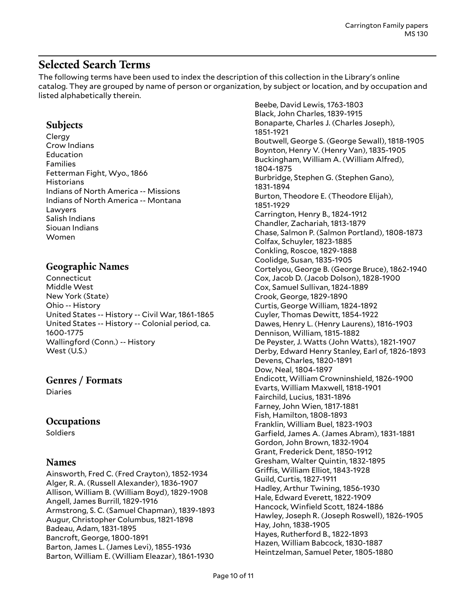### <span id="page-9-0"></span>**Selected Search Terms**

The following terms have been used to index the description of this collection in the Library's online catalog. They are grouped by name of person or organization, by subject or location, and by occupation and listed alphabetically therein.

#### **Subjects**

Clergy Crow Indians Education Families Fetterman Fight, Wyo., 1866 **Historians** Indians of North America -- Missions Indians of North America -- Montana Lawyers Salish Indians Siouan Indians Women

#### **Geographic Names**

Connecticut Middle West New York (State) Ohio -- History United States -- History -- Civil War, 1861-1865 United States -- History -- Colonial period, ca. 1600-1775 Wallingford (Conn.) -- History West (U.S.)

#### **Genres / Formats**

Diaries

#### **Occupations**

Soldiers

#### **Names**

Ainsworth, Fred C. (Fred Crayton), 1852-1934 Alger, R. A. (Russell Alexander), 1836-1907 Allison, William B. (William Boyd), 1829-1908 Angell, James Burrill, 1829-1916 Armstrong, S. C. (Samuel Chapman), 1839-1893 Augur, Christopher Columbus, 1821-1898 Badeau, Adam, 1831-1895 Bancroft, George, 1800-1891 Barton, James L. (James Levi), 1855-1936 Barton, William E. (William Eleazar), 1861-1930

Beebe, David Lewis, 1763-1803 Black, John Charles, 1839-1915 Bonaparte, Charles J. (Charles Joseph), 1851-1921 Boutwell, George S. (George Sewall), 1818-1905 Boynton, Henry V. (Henry Van), 1835-1905 Buckingham, William A. (William Alfred), 1804-1875 Burbridge, Stephen G. (Stephen Gano), 1831-1894 Burton, Theodore E. (Theodore Elijah), 1851-1929 Carrington, Henry B., 1824-1912 Chandler, Zachariah, 1813-1879 Chase, Salmon P. (Salmon Portland), 1808-1873 Colfax, Schuyler, 1823-1885 Conkling, Roscoe, 1829-1888 Coolidge, Susan, 1835-1905 Cortelyou, George B. (George Bruce), 1862-1940 Cox, Jacob D. (Jacob Dolson), 1828-1900 Cox, Samuel Sullivan, 1824-1889 Crook, George, 1829-1890 Curtis, George William, 1824-1892 Cuyler, Thomas Dewitt, 1854-1922 Dawes, Henry L. (Henry Laurens), 1816-1903 Dennison, William, 1815-1882 De Peyster, J. Watts (John Watts), 1821-1907 Derby, Edward Henry Stanley, Earl of, 1826-1893 Devens, Charles, 1820-1891 Dow, Neal, 1804-1897 Endicott, William Crowninshield, 1826-1900 Evarts, William Maxwell, 1818-1901 Fairchild, Lucius, 1831-1896 Farney, John Wien, 1817-1881 Fish, Hamilton, 1808-1893 Franklin, William Buel, 1823-1903 Garfield, James A. (James Abram), 1831-1881 Gordon, John Brown, 1832-1904 Grant, Frederick Dent, 1850-1912 Gresham, Walter Quintin, 1832-1895 Griffis, William Elliot, 1843-1928 Guild, Curtis, 1827-1911 Hadley, Arthur Twining, 1856-1930 Hale, Edward Everett, 1822-1909 Hancock, Winfield Scott, 1824-1886 Hawley, Joseph R. (Joseph Roswell), 1826-1905 Hay, John, 1838-1905 Hayes, Rutherford B., 1822-1893 Hazen, William Babcock, 1830-1887 Heintzelman, Samuel Peter, 1805-1880